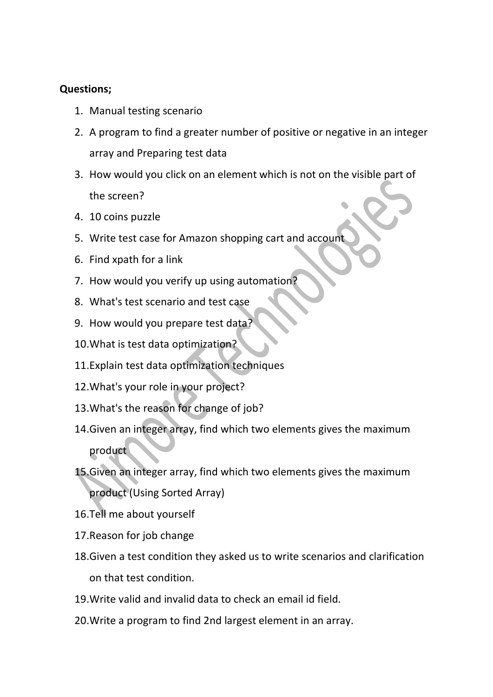## **Questions;**

- 1. Manual testing scenario
- 2. A program to find a greater number of positive or negative in an integer array and Preparing test data
- 3. How would you click on an element which is not on the visible part of the screen?
- 4. 10 coins puzzle
- 5. Write test case for Amazon shopping cart and account
- 6. Find xpath for a link
- 7. How would you verify up using automation?
- 8. What's test scenario and test case
- 9. How would you prepare test data?
- 10.What is test data optimization?
- 11.Explain test data optimization techniques
- 12.What's your role in your project?
- 13.What's the reason for change of job?
- 14.Given an integer array, find which two elements gives the maximum product
- 15.Given an integer array, find which two elements gives the maximum product (Using Sorted Array)
- 16.Tell me about yourself
- 17.Reason for job change
- 18.Given a test condition they asked us to write scenarios and clarification on that test condition.
- 19.Write valid and invalid data to check an email id field.
- 20.Write a program to find 2nd largest element in an array.